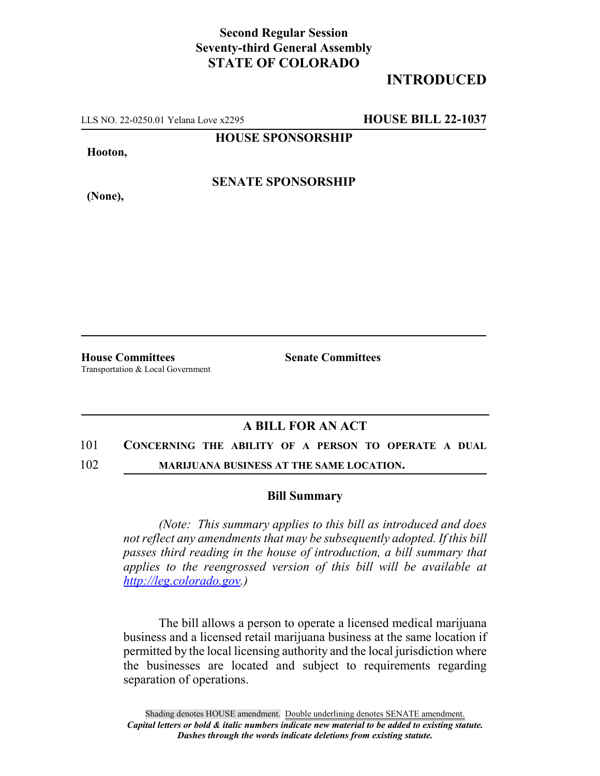## **Second Regular Session Seventy-third General Assembly STATE OF COLORADO**

# **INTRODUCED**

LLS NO. 22-0250.01 Yelana Love x2295 **HOUSE BILL 22-1037**

**HOUSE SPONSORSHIP**

**Hooton,**

**(None),**

**SENATE SPONSORSHIP**

**House Committees Senate Committees** Transportation & Local Government

## **A BILL FOR AN ACT**

### 101 **CONCERNING THE ABILITY OF A PERSON TO OPERATE A DUAL**

102 **MARIJUANA BUSINESS AT THE SAME LOCATION.**

#### **Bill Summary**

*(Note: This summary applies to this bill as introduced and does not reflect any amendments that may be subsequently adopted. If this bill passes third reading in the house of introduction, a bill summary that applies to the reengrossed version of this bill will be available at http://leg.colorado.gov.)*

The bill allows a person to operate a licensed medical marijuana business and a licensed retail marijuana business at the same location if permitted by the local licensing authority and the local jurisdiction where the businesses are located and subject to requirements regarding separation of operations.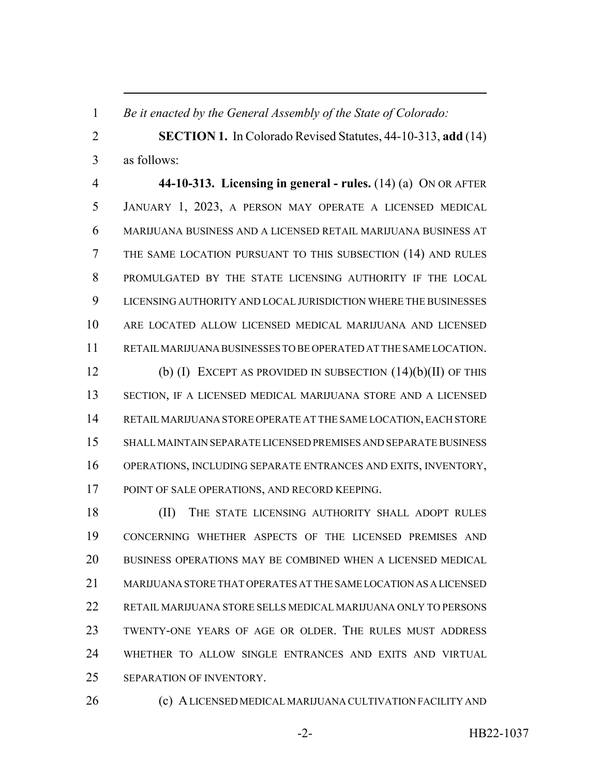*Be it enacted by the General Assembly of the State of Colorado:*

 **SECTION 1.** In Colorado Revised Statutes, 44-10-313, **add** (14) as follows:

 **44-10-313. Licensing in general - rules.** (14) (a) ON OR AFTER JANUARY 1, 2023, A PERSON MAY OPERATE A LICENSED MEDICAL MARIJUANA BUSINESS AND A LICENSED RETAIL MARIJUANA BUSINESS AT THE SAME LOCATION PURSUANT TO THIS SUBSECTION (14) AND RULES PROMULGATED BY THE STATE LICENSING AUTHORITY IF THE LOCAL LICENSING AUTHORITY AND LOCAL JURISDICTION WHERE THE BUSINESSES ARE LOCATED ALLOW LICENSED MEDICAL MARIJUANA AND LICENSED RETAIL MARIJUANA BUSINESSES TO BE OPERATED AT THE SAME LOCATION. (b) (I) EXCEPT AS PROVIDED IN SUBSECTION (14)(b)(II) OF THIS

 SECTION, IF A LICENSED MEDICAL MARIJUANA STORE AND A LICENSED RETAIL MARIJUANA STORE OPERATE AT THE SAME LOCATION, EACH STORE SHALL MAINTAIN SEPARATE LICENSED PREMISES AND SEPARATE BUSINESS OPERATIONS, INCLUDING SEPARATE ENTRANCES AND EXITS, INVENTORY, POINT OF SALE OPERATIONS, AND RECORD KEEPING.

18 (II) THE STATE LICENSING AUTHORITY SHALL ADOPT RULES CONCERNING WHETHER ASPECTS OF THE LICENSED PREMISES AND BUSINESS OPERATIONS MAY BE COMBINED WHEN A LICENSED MEDICAL MARIJUANA STORE THAT OPERATES AT THE SAME LOCATION AS A LICENSED RETAIL MARIJUANA STORE SELLS MEDICAL MARIJUANA ONLY TO PERSONS TWENTY-ONE YEARS OF AGE OR OLDER. THE RULES MUST ADDRESS WHETHER TO ALLOW SINGLE ENTRANCES AND EXITS AND VIRTUAL SEPARATION OF INVENTORY.

(c) A LICENSED MEDICAL MARIJUANA CULTIVATION FACILITY AND